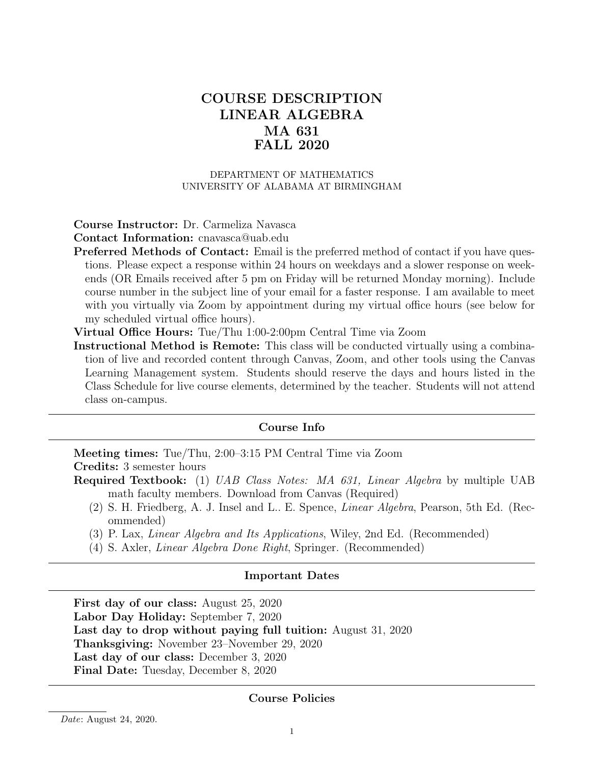# COURSE DESCRIPTION LINEAR ALGEBRA MA 631 FALL 2020

#### DEPARTMENT OF MATHEMATICS UNIVERSITY OF ALABAMA AT BIRMINGHAM

### Course Instructor: Dr. Carmeliza Navasca

Contact Information: cnavasca@uab.edu

Preferred Methods of Contact: Email is the preferred method of contact if you have questions. Please expect a response within 24 hours on weekdays and a slower response on weekends (OR Emails received after 5 pm on Friday will be returned Monday morning). Include course number in the subject line of your email for a faster response. I am available to meet with you virtually via Zoom by appointment during my virtual office hours (see below for my scheduled virtual office hours).

Virtual Office Hours: Tue/Thu 1:00-2:00pm Central Time via Zoom

Instructional Method is Remote: This class will be conducted virtually using a combination of live and recorded content through Canvas, Zoom, and other tools using the Canvas Learning Management system. Students should reserve the days and hours listed in the Class Schedule for live course elements, determined by the teacher. Students will not attend class on-campus.

#### Course Info

Meeting times: Tue/Thu, 2:00–3:15 PM Central Time via Zoom Credits: 3 semester hours

- Required Textbook: (1) UAB Class Notes: MA 631, Linear Algebra by multiple UAB math faculty members. Download from Canvas (Required)
	- (2) S. H. Friedberg, A. J. Insel and L.. E. Spence, Linear Algebra, Pearson, 5th Ed. (Recommended)
	- (3) P. Lax, Linear Algebra and Its Applications, Wiley, 2nd Ed. (Recommended)
	- (4) S. Axler, Linear Algebra Done Right, Springer. (Recommended)

### Important Dates

First day of our class: August 25, 2020 Labor Day Holiday: September 7, 2020 Last day to drop without paying full tuition: August 31, 2020 Thanksgiving: November 23–November 29, 2020 Last day of our class: December 3, 2020 Final Date: Tuesday, December 8, 2020

#### Course Policies

Date: August 24, 2020.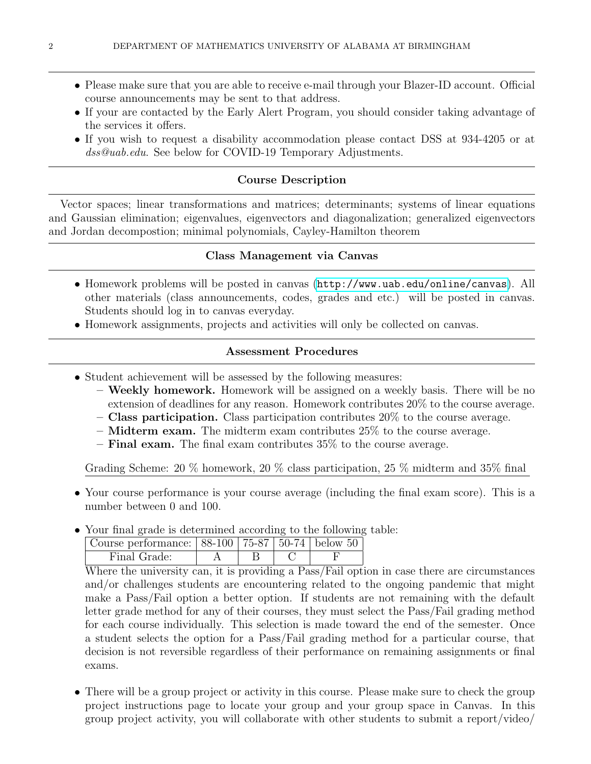- Please make sure that you are able to receive e-mail through your Blazer-ID account. Official course announcements may be sent to that address.
- If your are contacted by the Early Alert Program, you should consider taking advantage of the services it offers.
- If you wish to request a disability accommodation please contact DSS at 934-4205 or at dss@uab.edu. See below for COVID-19 Temporary Adjustments.

# Course Description

Vector spaces; linear transformations and matrices; determinants; systems of linear equations and Gaussian elimination; eigenvalues, eigenvectors and diagonalization; generalized eigenvectors and Jordan decompostion; minimal polynomials, Cayley-Hamilton theorem

# Class Management via Canvas

- Homework problems will be posted in canvas (<http://www.uab.edu/online/canvas>). All other materials (class announcements, codes, grades and etc.) will be posted in canvas. Students should log in to canvas everyday.
- Homework assignments, projects and activities will only be collected on canvas.

# Assessment Procedures

- Student achievement will be assessed by the following measures:
	- Weekly homework. Homework will be assigned on a weekly basis. There will be no extension of deadlines for any reason. Homework contributes 20% to the course average.
	- $-$  Class participation. Class participation contributes 20% to the course average.
	- $-$  Midterm exam. The midterm exam contributes  $25\%$  to the course average.
	- **Final exam.** The final exam contributes  $35\%$  to the course average.

Grading Scheme: 20 % homework, 20 % class participation, 25 % midterm and 35% final

- Your course performance is your course average (including the final exam score). This is a number between 0 and 100.
- Your final grade is determined according to the following table:

| Course performance: $88-100$ 75-87 50-74 below 50 |  |  |
|---------------------------------------------------|--|--|
| Final Grade:                                      |  |  |

Where the university can, it is providing a Pass/Fail option in case there are circumstances and/or challenges students are encountering related to the ongoing pandemic that might make a Pass/Fail option a better option. If students are not remaining with the default letter grade method for any of their courses, they must select the Pass/Fail grading method for each course individually. This selection is made toward the end of the semester. Once a student selects the option for a Pass/Fail grading method for a particular course, that decision is not reversible regardless of their performance on remaining assignments or final exams.

• There will be a group project or activity in this course. Please make sure to check the group project instructions page to locate your group and your group space in Canvas. In this group project activity, you will collaborate with other students to submit a report/video/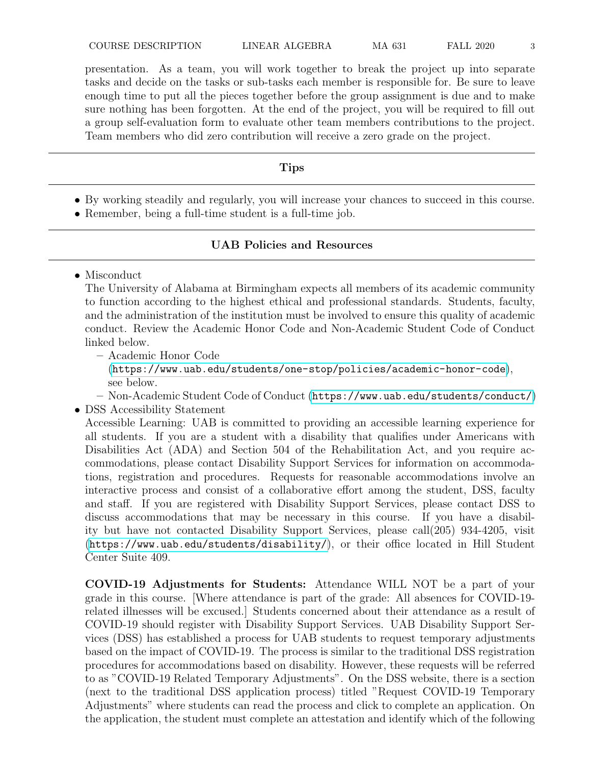presentation. As a team, you will work together to break the project up into separate tasks and decide on the tasks or sub-tasks each member is responsible for. Be sure to leave enough time to put all the pieces together before the group assignment is due and to make sure nothing has been forgotten. At the end of the project, you will be required to fill out a group self-evaluation form to evaluate other team members contributions to the project. Team members who did zero contribution will receive a zero grade on the project.

# Tips

- By working steadily and regularly, you will increase your chances to succeed in this course.
- Remember, being a full-time student is a full-time job.

# UAB Policies and Resources

• Misconduct

The University of Alabama at Birmingham expects all members of its academic community to function according to the highest ethical and professional standards. Students, faculty, and the administration of the institution must be involved to ensure this quality of academic conduct. Review the Academic Honor Code and Non-Academic Student Code of Conduct linked below.

- Academic Honor Code (<https://www.uab.edu/students/one-stop/policies/academic-honor-code>), see below.
- Non-Academic Student Code of Conduct (<https://www.uab.edu/students/conduct/>)
- DSS Accessibility Statement

Accessible Learning: UAB is committed to providing an accessible learning experience for all students. If you are a student with a disability that qualifies under Americans with Disabilities Act (ADA) and Section 504 of the Rehabilitation Act, and you require accommodations, please contact Disability Support Services for information on accommodations, registration and procedures. Requests for reasonable accommodations involve an interactive process and consist of a collaborative effort among the student, DSS, faculty and staff. If you are registered with Disability Support Services, please contact DSS to discuss accommodations that may be necessary in this course. If you have a disability but have not contacted Disability Support Services, please call(205) 934-4205, visit (<https://www.uab.edu/students/disability/>), or their office located in Hill Student Center Suite 409.

COVID-19 Adjustments for Students: Attendance WILL NOT be a part of your grade in this course. [Where attendance is part of the grade: All absences for COVID-19 related illnesses will be excused.] Students concerned about their attendance as a result of COVID-19 should register with Disability Support Services. UAB Disability Support Services (DSS) has established a process for UAB students to request temporary adjustments based on the impact of COVID-19. The process is similar to the traditional DSS registration procedures for accommodations based on disability. However, these requests will be referred to as "COVID-19 Related Temporary Adjustments". On the DSS website, there is a section (next to the traditional DSS application process) titled "Request COVID-19 Temporary Adjustments" where students can read the process and click to complete an application. On the application, the student must complete an attestation and identify which of the following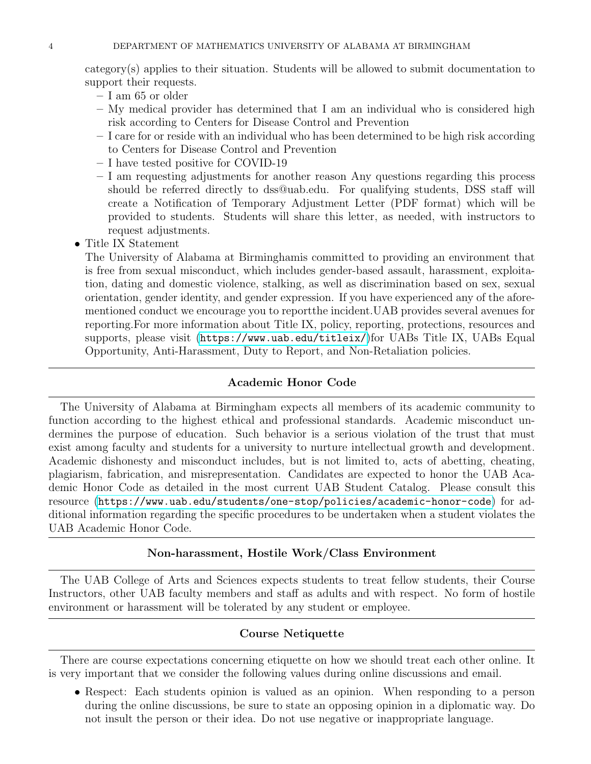category(s) applies to their situation. Students will be allowed to submit documentation to support their requests.

- I am 65 or older
- My medical provider has determined that I am an individual who is considered high risk according to Centers for Disease Control and Prevention
- I care for or reside with an individual who has been determined to be high risk according to Centers for Disease Control and Prevention
- I have tested positive for COVID-19
- I am requesting adjustments for another reason Any questions regarding this process should be referred directly to dss@uab.edu. For qualifying students, DSS staff will create a Notification of Temporary Adjustment Letter (PDF format) which will be provided to students. Students will share this letter, as needed, with instructors to request adjustments.
- Title IX Statement

The University of Alabama at Birminghamis committed to providing an environment that is free from sexual misconduct, which includes gender-based assault, harassment, exploitation, dating and domestic violence, stalking, as well as discrimination based on sex, sexual orientation, gender identity, and gender expression. If you have experienced any of the aforementioned conduct we encourage you to reportthe incident.UAB provides several avenues for reporting.For more information about Title IX, policy, reporting, protections, resources and supports, please visit (<https://www.uab.edu/titleix/>)for UABs Title IX, UABs Equal Opportunity, Anti-Harassment, Duty to Report, and Non-Retaliation policies.

## Academic Honor Code

The University of Alabama at Birmingham expects all members of its academic community to function according to the highest ethical and professional standards. Academic misconduct undermines the purpose of education. Such behavior is a serious violation of the trust that must exist among faculty and students for a university to nurture intellectual growth and development. Academic dishonesty and misconduct includes, but is not limited to, acts of abetting, cheating, plagiarism, fabrication, and misrepresentation. Candidates are expected to honor the UAB Academic Honor Code as detailed in the most current UAB Student Catalog. Please consult this resource (<https://www.uab.edu/students/one-stop/policies/academic-honor-code>) for additional information regarding the specific procedures to be undertaken when a student violates the UAB Academic Honor Code.

### Non-harassment, Hostile Work/Class Environment

The UAB College of Arts and Sciences expects students to treat fellow students, their Course Instructors, other UAB faculty members and staff as adults and with respect. No form of hostile environment or harassment will be tolerated by any student or employee.

### Course Netiquette

There are course expectations concerning etiquette on how we should treat each other online. It is very important that we consider the following values during online discussions and email.

• Respect: Each students opinion is valued as an opinion. When responding to a person during the online discussions, be sure to state an opposing opinion in a diplomatic way. Do not insult the person or their idea. Do not use negative or inappropriate language.